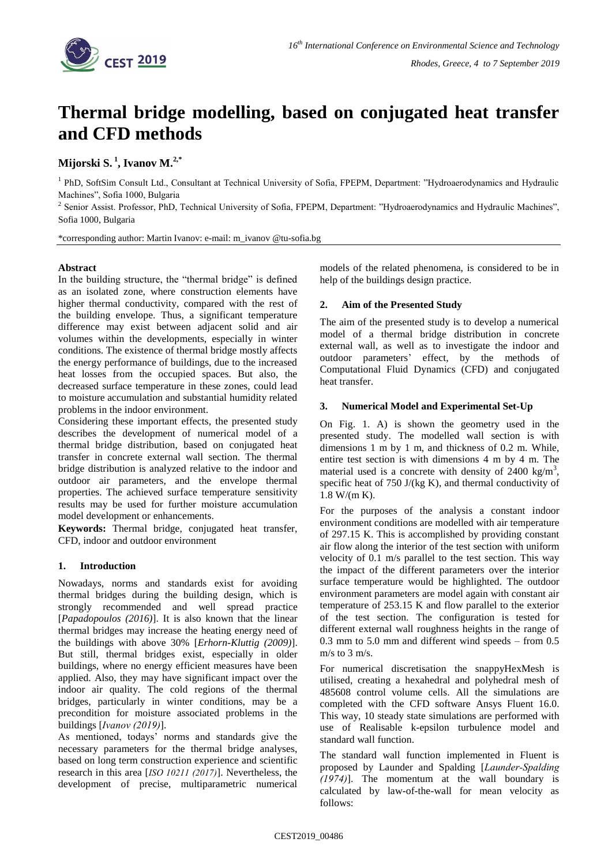

# **Thermal bridge modelling, based on conjugated heat transfer and CFD methods**

**Mijorski S. <sup>1</sup> , Ivanov M.2,\***

<sup>1</sup> PhD, SoftSim Consult Ltd., Consultant at Technical University of Sofia, FPEPM, Department: "Hydroaerodynamics and Hydraulic Machines", Sofia 1000, Bulgaria

<sup>2</sup> Senior Assist. Professor, PhD, Technical University of Sofia, FPEPM, Department: "Hydroaerodynamics and Hydraulic Machines", Sofia 1000, Bulgaria

\*corresponding author: Martin Ivanov: e-mail: m\_ivanov @tu-sofia.bg

# **Abstract**

In the building structure, the "thermal bridge" is defined as an isolated zone, where construction elements have higher thermal conductivity, compared with the rest of the building envelope. Thus, a significant temperature difference may exist between adjacent solid and air volumes within the developments, especially in winter conditions. The existence of thermal bridge mostly affects the energy performance of buildings, due to the increased heat losses from the occupied spaces. But also, the decreased surface temperature in these zones, could lead to moisture accumulation and substantial humidity related problems in the indoor environment.

Considering these important effects, the presented study describes the development of numerical model of a thermal bridge distribution, based on conjugated heat transfer in concrete external wall section. The thermal bridge distribution is analyzed relative to the indoor and outdoor air parameters, and the envelope thermal properties. The achieved surface temperature sensitivity results may be used for further moisture accumulation model development or enhancements.

**Keywords:** Thermal bridge, conjugated heat transfer, CFD, indoor and outdoor environment

# **1. Introduction**

Nowadays, norms and standards exist for avoiding thermal bridges during the building design, which is strongly recommended and well spread practice [*Papadopoulos (2016)*]. It is also known that the linear thermal bridges may increase the heating energy need of the buildings with above 30% [*Erhorn-Kluttig (2009)*]. But still, thermal bridges exist, especially in older buildings, where no energy efficient measures have been applied. Also, they may have significant impact over the indoor air quality. The cold regions of the thermal bridges, particularly in winter conditions, may be a precondition for moisture associated problems in the buildings [*Ivanov (2019)*].

As mentioned, todays' norms and standards give the necessary parameters for the thermal bridge analyses, based on long term construction experience and scientific research in this area [*ISO 10211 (2017)*]. Nevertheless, the development of precise, multiparametric numerical models of the related phenomena, is considered to be in help of the buildings design practice.

# **2. Aim of the Presented Study**

The aim of the presented study is to develop a numerical model of a thermal bridge distribution in concrete external wall, as well as to investigate the indoor and outdoor parameters' effect, by the methods of Computational Fluid Dynamics (CFD) and conjugated heat transfer.

# **3. Numerical Model and Experimental Set-Up**

On Fig. 1. A) is shown the geometry used in the presented study. The modelled wall section is with dimensions 1 m by 1 m, and thickness of 0.2 m. While, entire test section is with dimensions 4 m by 4 m. The material used is a concrete with density of  $2400 \text{ kg/m}^3$ , specific heat of 750 J/(kg K), and thermal conductivity of 1.8 W/(m K).

For the purposes of the analysis a constant indoor environment conditions are modelled with air temperature of 297.15 K. This is accomplished by providing constant air flow along the interior of the test section with uniform velocity of 0.1 m/s parallel to the test section. This way the impact of the different parameters over the interior surface temperature would be highlighted. The outdoor environment parameters are model again with constant air temperature of 253.15 K and flow parallel to the exterior of the test section. The configuration is tested for different external wall roughness heights in the range of 0.3 mm to 5.0 mm and different wind speeds – from 0.5 m/s to 3 m/s.

For numerical discretisation the snappyHexMesh is utilised, creating a hexahedral and polyhedral mesh of 485608 control volume cells. All the simulations are completed with the CFD software Ansys Fluent 16.0. This way, 10 steady state simulations are performed with use of Realisable k-epsilon turbulence model and standard wall function.

The standard wall function implemented in Fluent is proposed by Launder and Spalding [*Launder-Spalding (1974)*]. The momentum at the wall boundary is calculated by law-of-the-wall for mean velocity as follows: